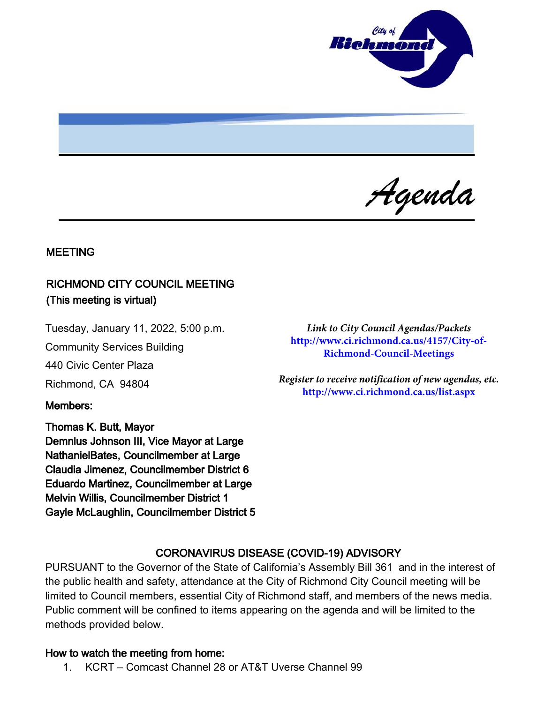

Agenda

#### MEETING

## RICHMOND CITY COUNCIL MEETING (This meeting is virtual)

Tuesday, January 11, 2022, 5:00 p.m.

Community Services Building

440 Civic Center Plaza

Richmond, CA 94804

Members:

Thomas K. Butt, Mayor Demnlus Johnson III, Vice Mayor at Large NathanielBates, Councilmember at Large Claudia Jimenez, Councilmember District 6 Eduardo Martinez, Councilmember at Large Melvin Willis, Councilmember District 1 Gayle McLaughlin, Councilmember District 5

*Link to City Council Agendas/Packets*  **http://www.ci.richmond.ca.us/4157/City-of-Richmond-Council-Meetings**

*Register to receive notification of new agendas, etc.* **http://www.ci.richmond.ca.us/list.aspx**

#### CORONAVIRUS DISEASE (COVID-19) ADVISORY

PURSUANT to the Governor of the State of California's Assembly Bill 361 and in the interest of the public health and safety, attendance at the City of Richmond City Council meeting will be limited to Council members, essential City of Richmond staff, and members of the news media. Public comment will be confined to items appearing on the agenda and will be limited to the methods provided below.

#### How to watch the meeting from home:

1. KCRT – Comcast Channel 28 or AT&T Uverse Channel 99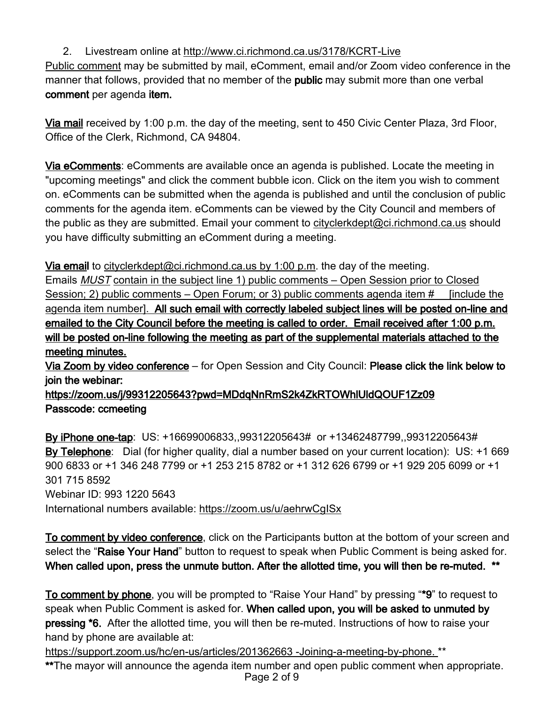## 2. Livestream online at <http://www.ci.richmond.ca.us/3178/KCRT-Live>

Public comment may be submitted by mail, eComment, email and/or Zoom video conference in the manner that follows, provided that no member of the **public** may submit more than one verbal comment per agenda item.

Via mail received by 1:00 p.m. the day of the meeting, sent to 450 Civic Center Plaza, 3rd Floor, Office of the Clerk, Richmond, CA 94804.

Via eComments: eComments are available once an agenda is published. Locate the meeting in "upcoming meetings" and click the comment bubble icon. Click on the item you wish to comment on. eComments can be submitted when the agenda is published and until the conclusion of public comments for the agenda item. eComments can be viewed by the City Council and members of the public as they are submitted. Email your comment to [cityclerkdept@ci.richmond.ca.us](mailto:cityclerkdept@ci.richmond.ca.us) should you have difficulty submitting an eComment during a meeting.

Via email to [cityclerkdept@ci.richmond.ca.us](mailto:cityclerkdept@ci.richmond.ca.us) by 1:00 p.m. the day of the meeting.

Emails MUST contain in the subject line 1) public comments – Open Session prior to Closed Session; 2) public comments – Open Forum; or 3) public comments agenda item # [include the agenda item number]. All such email with correctly labeled subject lines will be posted on-line and emailed to the City Council before the meeting is called to order. Email received after 1:00 p.m. will be posted on-line following the meeting as part of the supplemental materials attached to the meeting minutes.

Via Zoom by video conference - for Open Session and City Council: Please click the link below to join the webinar:

https://zoom.us/j/99312205643?pwd=MDdqNnRmS2k4ZkRTOWhlUldQOUF1Zz09 Passcode: ccmeeting

By iPhone one-tap: US: +16699006833,,99312205643# or +13462487799,,99312205643# By Telephone: Dial (for higher quality, dial a number based on your current location): US: +1 669 900 6833 or +1 346 248 7799 or +1 253 215 8782 or +1 312 626 6799 or +1 929 205 6099 or +1 301 715 8592 Webinar ID: 993 1220 5643 International numbers available: <https://zoom.us/u/aehrwCgISx>

To comment by video conference, click on the Participants button at the bottom of your screen and select the "Raise Your Hand" button to request to speak when Public Comment is being asked for. When called upon, press the unmute button. After the allotted time, you will then be re-muted. \*\*

To comment by phone, you will be prompted to "Raise Your Hand" by pressing "\*9" to request to speak when Public Comment is asked for. When called upon, you will be asked to unmuted by pressing \*6. After the allotted time, you will then be re-muted. Instructions of how to raise your hand by phone are available at:

[https://support.zoom.us/hc/en-us/articles/201362663 -Joining-a-meeting-by-phone.](https://support.zoom.us/hc/en-us/articles/201362663%20-Joining-a-meeting-by-phone.) \*\*

\*\*The mayor will announce the agenda item number and open public comment when appropriate. Page 2 of 9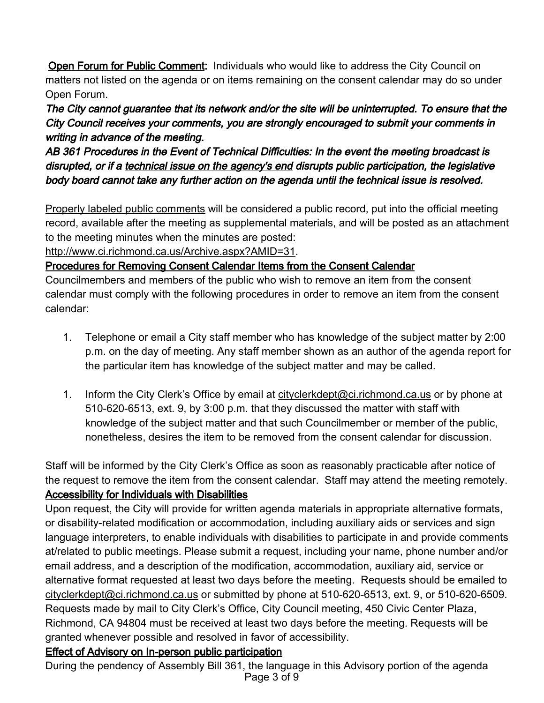**Open Forum for Public Comment:** Individuals who would like to address the City Council on matters not listed on the agenda or on items remaining on the consent calendar may do so under Open Forum.

The City cannot guarantee that its network and/or the site will be uninterrupted. To ensure that the City Council receives your comments, you are strongly encouraged to submit your comments in writing in advance of the meeting.

AB 361 Procedures in the Event of Technical Difficulties: In the event the meeting broadcast is disrupted, or if a technical issue on the agency's end disrupts public participation, the legislative body board cannot take any further action on the agenda until the technical issue is resolved.

Properly labeled public comments will be considered a public record, put into the official meeting record, available after the meeting as supplemental materials, and will be posted as an attachment to the meeting minutes when the minutes are posted:

[http://www.ci.richmond.ca.us/Archive.aspx?AMID=31.](http://www.ci.richmond.ca.us/Archive.aspx?AMID=31)

Procedures for Removing Consent Calendar Items from the Consent Calendar

Councilmembers and members of the public who wish to remove an item from the consent calendar must comply with the following procedures in order to remove an item from the consent calendar:

- 1. Telephone or email a City staff member who has knowledge of the subject matter by 2:00 p.m. on the day of meeting. Any staff member shown as an author of the agenda report for the particular item has knowledge of the subject matter and may be called.
- 1. Inform the City Clerk's Office by email at [cityclerkdept@ci.richmond.ca.us](mailto:cityclerkdept@ci.richmond.ca.us) or by phone at 510-620-6513, ext. 9, by 3:00 p.m. that they discussed the matter with staff with knowledge of the subject matter and that such Councilmember or member of the public, nonetheless, desires the item to be removed from the consent calendar for discussion.

Staff will be informed by the City Clerk's Office as soon as reasonably practicable after notice of the request to remove the item from the consent calendar. Staff may attend the meeting remotely. Accessibility for Individuals with Disabilities

Upon request, the City will provide for written agenda materials in appropriate alternative formats, or disability-related modification or accommodation, including auxiliary aids or services and sign language interpreters, to enable individuals with disabilities to participate in and provide comments at/related to public meetings. Please submit a request, including your name, phone number and/or email address, and a description of the modification, accommodation, auxiliary aid, service or alternative format requested at least two days before the meeting. Requests should be emailed to [cityclerkdept@ci.richmond.ca.us](mailto:cityclerkdept@ci.richmond.ca.us) or submitted by phone at 510-620-6513, ext. 9, or 510-620-6509. Requests made by mail to City Clerk's Office, City Council meeting, 450 Civic Center Plaza, Richmond, CA 94804 must be received at least two days before the meeting. Requests will be granted whenever possible and resolved in favor of accessibility.

# Effect of Advisory on In-person public participation

During the pendency of Assembly Bill 361, the language in this Advisory portion of the agenda Page 3 of 9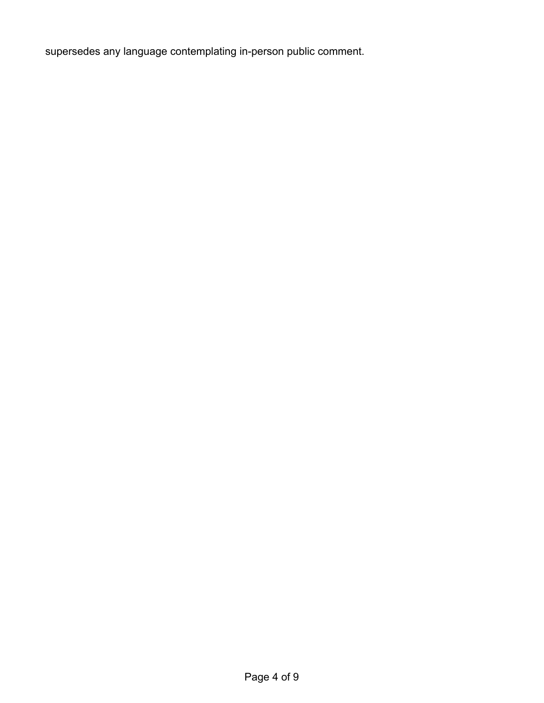supersedes any language contemplating in-person public comment.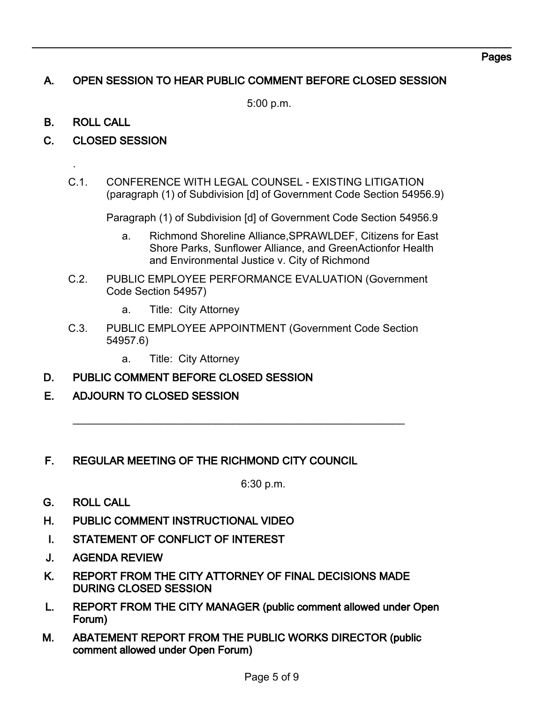# A. OPEN SESSION TO HEAR PUBLIC COMMENT BEFORE CLOSED SESSION

5:00 p.m.

## B. ROLL CALL

.

- C. CLOSED SESSION
	- C.1. CONFERENCE WITH LEGAL COUNSEL EXISTING LITIGATION (paragraph (1) of Subdivision [d] of Government Code Section 54956.9)

Paragraph (1) of Subdivision [d] of Government Code Section 54956.9

- a. Richmond Shoreline Alliance,SPRAWLDEF, Citizens for East Shore Parks, Sunflower Alliance, and GreenActionfor Health and Environmental Justice v. City of Richmond
- C.2. PUBLIC EMPLOYEE PERFORMANCE EVALUATION (Government Code Section 54957)
	- a. Title: City Attorney
- C.3. PUBLIC EMPLOYEE APPOINTMENT (Government Code Section 54957.6)

 $\overline{\phantom{a}}$  , and the contribution of the contribution of the contribution of the contribution of the contribution of the contribution of the contribution of the contribution of the contribution of the contribution of the

- a. Title: City Attorney
- D. PUBLIC COMMENT BEFORE CLOSED SESSION
- E. ADJOURN TO CLOSED SESSION

## F. REGULAR MEETING OF THE RICHMOND CITY COUNCIL

6:30 p.m.

- G. ROLL CALL
- H. PUBLIC COMMENT INSTRUCTIONAL VIDEO
- I. STATEMENT OF CONFLICT OF INTEREST
- J. AGENDA REVIEW
- K. REPORT FROM THE CITY ATTORNEY OF FINAL DECISIONS MADE DURING CLOSED SESSION
- L. REPORT FROM THE CITY MANAGER (public comment allowed under Open Forum)
- M. ABATEMENT REPORT FROM THE PUBLIC WORKS DIRECTOR (public comment allowed under Open Forum)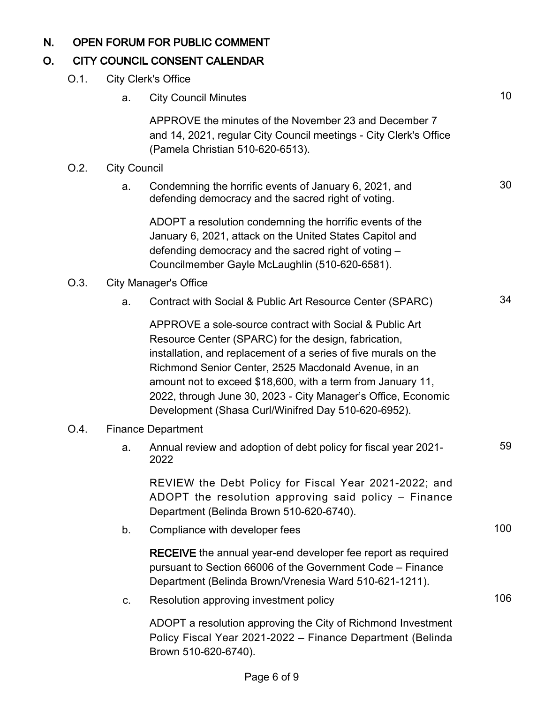# N. OPEN FORUM FOR PUBLIC COMMENT

# O. CITY COUNCIL CONSENT CALENDAR

| O.1.    | <b>City Clerk's Office</b>   |                                                                                                                                                                                                                                                                                                                                                                                                                                   |     |  |  |
|---------|------------------------------|-----------------------------------------------------------------------------------------------------------------------------------------------------------------------------------------------------------------------------------------------------------------------------------------------------------------------------------------------------------------------------------------------------------------------------------|-----|--|--|
|         | a.                           | <b>City Council Minutes</b>                                                                                                                                                                                                                                                                                                                                                                                                       | 10  |  |  |
|         |                              | APPROVE the minutes of the November 23 and December 7<br>and 14, 2021, regular City Council meetings - City Clerk's Office<br>(Pamela Christian 510-620-6513).                                                                                                                                                                                                                                                                    |     |  |  |
| $O.2$ . | <b>City Council</b>          |                                                                                                                                                                                                                                                                                                                                                                                                                                   |     |  |  |
|         | a.                           | Condemning the horrific events of January 6, 2021, and<br>defending democracy and the sacred right of voting.                                                                                                                                                                                                                                                                                                                     | 30  |  |  |
|         |                              | ADOPT a resolution condemning the horrific events of the<br>January 6, 2021, attack on the United States Capitol and<br>defending democracy and the sacred right of voting -<br>Councilmember Gayle McLaughlin (510-620-6581).                                                                                                                                                                                                    |     |  |  |
| O.3.    | <b>City Manager's Office</b> |                                                                                                                                                                                                                                                                                                                                                                                                                                   |     |  |  |
|         | a.                           | Contract with Social & Public Art Resource Center (SPARC)                                                                                                                                                                                                                                                                                                                                                                         | 34  |  |  |
|         |                              | APPROVE a sole-source contract with Social & Public Art<br>Resource Center (SPARC) for the design, fabrication,<br>installation, and replacement of a series of five murals on the<br>Richmond Senior Center, 2525 Macdonald Avenue, in an<br>amount not to exceed \$18,600, with a term from January 11,<br>2022, through June 30, 2023 - City Manager's Office, Economic<br>Development (Shasa Curl/Winifred Day 510-620-6952). |     |  |  |
| O.4.    | <b>Finance Department</b>    |                                                                                                                                                                                                                                                                                                                                                                                                                                   |     |  |  |
|         | a.                           | Annual review and adoption of debt policy for fiscal year 2021-<br>2022                                                                                                                                                                                                                                                                                                                                                           | 59  |  |  |
|         |                              | REVIEW the Debt Policy for Fiscal Year 2021-2022; and<br>ADOPT the resolution approving said policy - Finance<br>Department (Belinda Brown 510-620-6740).                                                                                                                                                                                                                                                                         |     |  |  |
|         | b.                           | Compliance with developer fees                                                                                                                                                                                                                                                                                                                                                                                                    | 100 |  |  |
|         |                              | <b>RECEIVE</b> the annual year-end developer fee report as required<br>pursuant to Section 66006 of the Government Code – Finance<br>Department (Belinda Brown/Vrenesia Ward 510-621-1211).                                                                                                                                                                                                                                       |     |  |  |
|         | C.                           | Resolution approving investment policy                                                                                                                                                                                                                                                                                                                                                                                            | 106 |  |  |
|         |                              | ADOPT a resolution approving the City of Richmond Investment<br>Policy Fiscal Year 2021-2022 - Finance Department (Belinda<br>Brown 510-620-6740).                                                                                                                                                                                                                                                                                |     |  |  |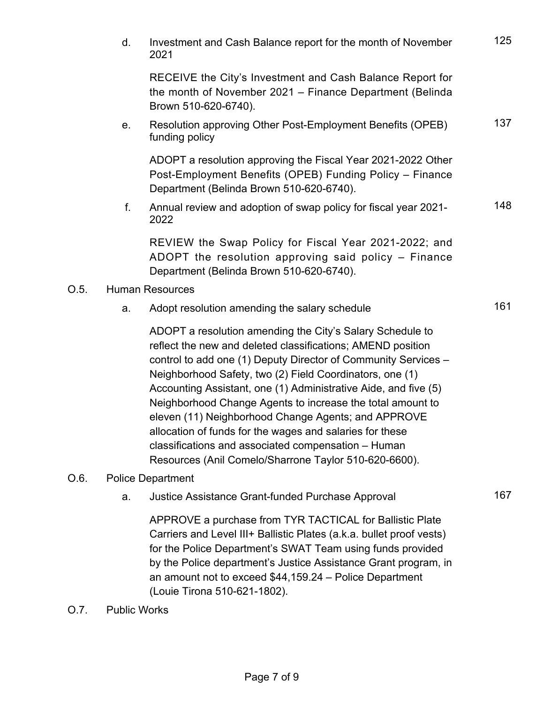|                        | d. | Investment and Cash Balance report for the month of November<br>2021                                                                                                                                                                                      | 125 |  |  |
|------------------------|----|-----------------------------------------------------------------------------------------------------------------------------------------------------------------------------------------------------------------------------------------------------------|-----|--|--|
|                        |    | RECEIVE the City's Investment and Cash Balance Report for<br>the month of November 2021 – Finance Department (Belinda<br>Brown 510-620-6740).                                                                                                             |     |  |  |
|                        | е. | Resolution approving Other Post-Employment Benefits (OPEB)<br>funding policy                                                                                                                                                                              | 137 |  |  |
|                        |    | ADOPT a resolution approving the Fiscal Year 2021-2022 Other<br>Post-Employment Benefits (OPEB) Funding Policy - Finance<br>Department (Belinda Brown 510-620-6740).                                                                                      |     |  |  |
|                        | f. | Annual review and adoption of swap policy for fiscal year 2021-<br>2022                                                                                                                                                                                   | 148 |  |  |
|                        |    | REVIEW the Swap Policy for Fiscal Year 2021-2022; and<br>ADOPT the resolution approving said policy - Finance<br>Department (Belinda Brown 510-620-6740).                                                                                                 |     |  |  |
| <b>Human Resources</b> |    |                                                                                                                                                                                                                                                           |     |  |  |
|                        | a. | Adopt resolution amending the salary schedule                                                                                                                                                                                                             | 161 |  |  |
|                        |    | ADOPT a resolution amending the City's Salary Schedule to<br>reflect the new and deleted classifications; AMEND position<br>control to add one (1) Deputy Director of Community Services -<br>Neighborhood Safety two $(2)$ Field Coordinators, and $(1)$ |     |  |  |

Neighborhood Safety, two (2) Field Coordinators, one (1) Accounting Assistant, one (1) Administrative Aide, and five (5) Neighborhood Change Agents to increase the total amount to eleven (11) Neighborhood Change Agents; and APPROVE allocation of funds for the wages and salaries for these classifications and associated compensation – Human Resources (Anil Comelo/Sharrone Taylor 510-620-6600).

#### O.6. Police Department

 $O.5.$ 

a. Justice Assistance Grant-funded Purchase Approval 167

APPROVE a purchase from TYR TACTICAL for Ballistic Plate Carriers and Level III+ Ballistic Plates (a.k.a. bullet proof vests) for the Police Department's SWAT Team using funds provided by the Police department's Justice Assistance Grant program, in an amount not to exceed \$44,159.24 – Police Department (Louie Tirona 510-621-1802).

O.7. Public Works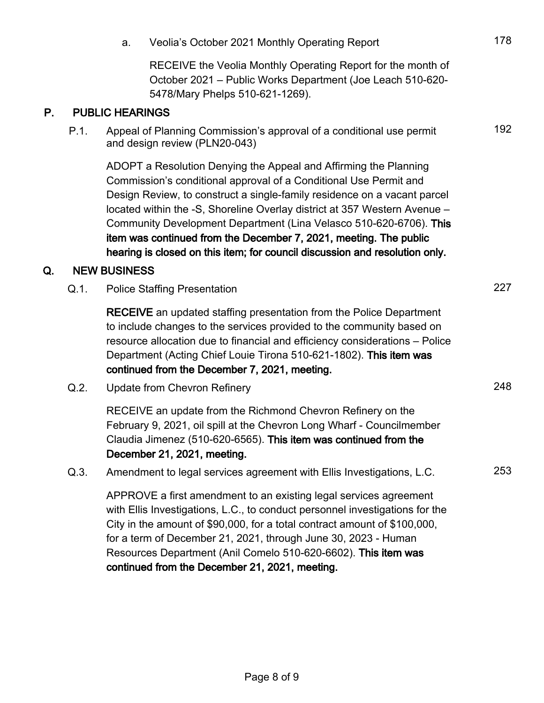|    |                        | a.                                                                                                                                                                                                                                                                                                                                                                                                                                                                                                                       | Veolia's October 2021 Monthly Operating Report                                                                                                                                                                                                                                                                                                            | 178 |  |  |  |
|----|------------------------|--------------------------------------------------------------------------------------------------------------------------------------------------------------------------------------------------------------------------------------------------------------------------------------------------------------------------------------------------------------------------------------------------------------------------------------------------------------------------------------------------------------------------|-----------------------------------------------------------------------------------------------------------------------------------------------------------------------------------------------------------------------------------------------------------------------------------------------------------------------------------------------------------|-----|--|--|--|
|    |                        |                                                                                                                                                                                                                                                                                                                                                                                                                                                                                                                          | RECEIVE the Veolia Monthly Operating Report for the month of<br>October 2021 - Public Works Department (Joe Leach 510-620-<br>5478/Mary Phelps 510-621-1269).                                                                                                                                                                                             |     |  |  |  |
| P. | <b>PUBLIC HEARINGS</b> |                                                                                                                                                                                                                                                                                                                                                                                                                                                                                                                          |                                                                                                                                                                                                                                                                                                                                                           |     |  |  |  |
|    | P.1.                   |                                                                                                                                                                                                                                                                                                                                                                                                                                                                                                                          | Appeal of Planning Commission's approval of a conditional use permit<br>and design review (PLN20-043)                                                                                                                                                                                                                                                     | 192 |  |  |  |
|    |                        | ADOPT a Resolution Denying the Appeal and Affirming the Planning<br>Commission's conditional approval of a Conditional Use Permit and<br>Design Review, to construct a single-family residence on a vacant parcel<br>located within the -S, Shoreline Overlay district at 357 Western Avenue -<br>Community Development Department (Lina Velasco 510-620-6706). This<br>item was continued from the December 7, 2021, meeting. The public<br>hearing is closed on this item; for council discussion and resolution only. |                                                                                                                                                                                                                                                                                                                                                           |     |  |  |  |
| Q. |                        | <b>NEW BUSINESS</b>                                                                                                                                                                                                                                                                                                                                                                                                                                                                                                      |                                                                                                                                                                                                                                                                                                                                                           |     |  |  |  |
|    | $Q.1$ .                | <b>Police Staffing Presentation</b>                                                                                                                                                                                                                                                                                                                                                                                                                                                                                      |                                                                                                                                                                                                                                                                                                                                                           |     |  |  |  |
|    |                        |                                                                                                                                                                                                                                                                                                                                                                                                                                                                                                                          | <b>RECEIVE</b> an updated staffing presentation from the Police Department<br>to include changes to the services provided to the community based on<br>resource allocation due to financial and efficiency considerations - Police<br>Department (Acting Chief Louie Tirona 510-621-1802). This item was<br>continued from the December 7, 2021, meeting. |     |  |  |  |
|    | Q.2.                   |                                                                                                                                                                                                                                                                                                                                                                                                                                                                                                                          | Update from Chevron Refinery                                                                                                                                                                                                                                                                                                                              | 248 |  |  |  |
|    |                        |                                                                                                                                                                                                                                                                                                                                                                                                                                                                                                                          | RECEIVE an update from the Richmond Chevron Refinery on the<br>February 9, 2021, oil spill at the Chevron Long Wharf - Councilmember<br>Claudia Jimenez (510-620-6565). This item was continued from the<br>December 21, 2021, meeting.                                                                                                                   |     |  |  |  |
|    | Q.3.                   |                                                                                                                                                                                                                                                                                                                                                                                                                                                                                                                          | Amendment to legal services agreement with Ellis Investigations, L.C.                                                                                                                                                                                                                                                                                     | 253 |  |  |  |
|    |                        |                                                                                                                                                                                                                                                                                                                                                                                                                                                                                                                          | APPROVE a first amendment to an existing legal services agreement<br>with Ellis Investigations, L.C., to conduct personnel investigations for the<br>City in the amount of \$90,000, for a total contract amount of \$100,000,<br>for a term of December 21, 2021, through June 30, 2023 - Human                                                          |     |  |  |  |

Resources Department (Anil Comelo 510-620-6602). This item was continued from the December 21, 2021, meeting.